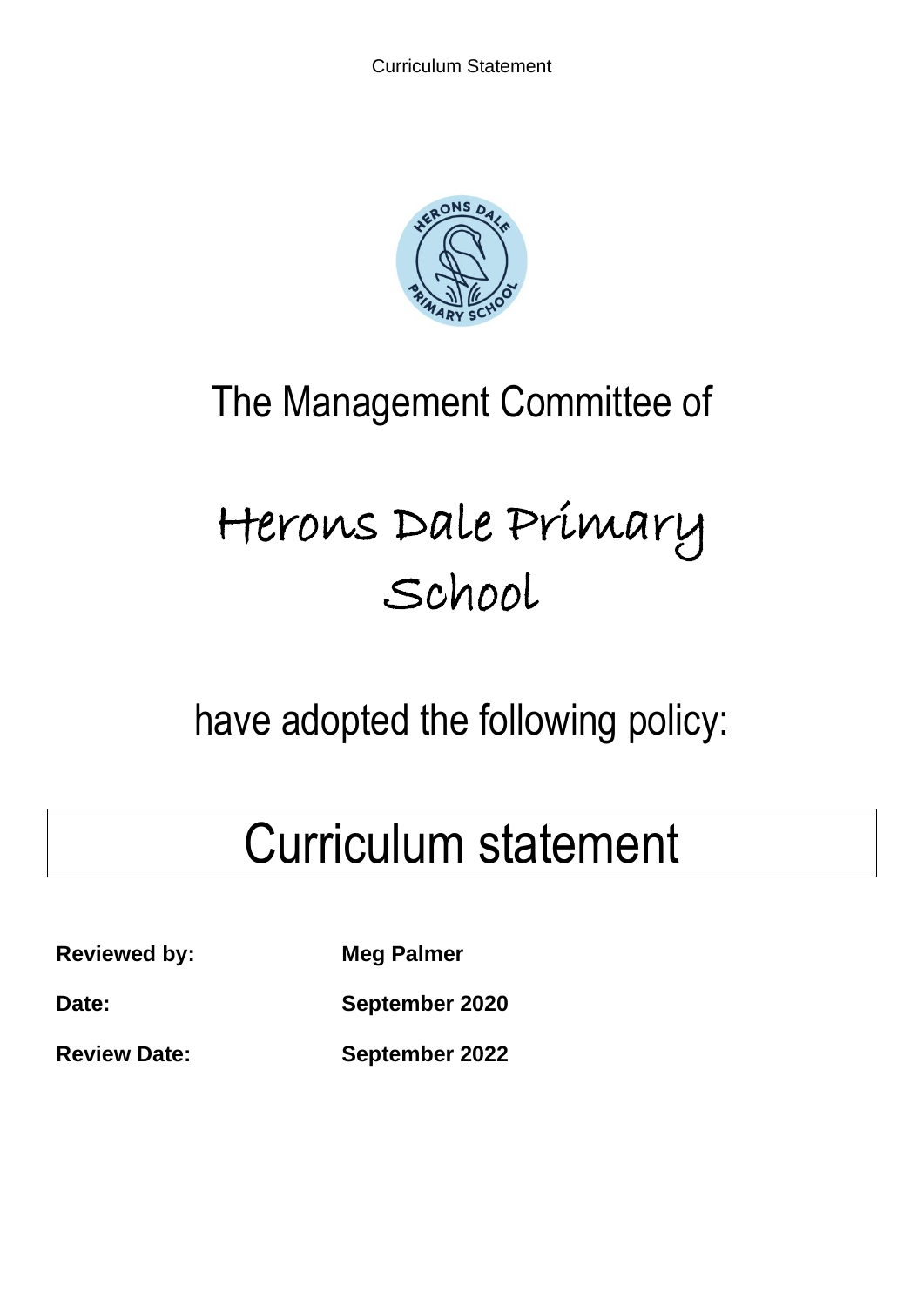

# The Management Committee of

# Herons Dale Primary School

# have adopted the following policy:

# Curriculum statement

**Reviewed by:** Meg Palmer

**Date: September 2020**

**Review Date: September 2022**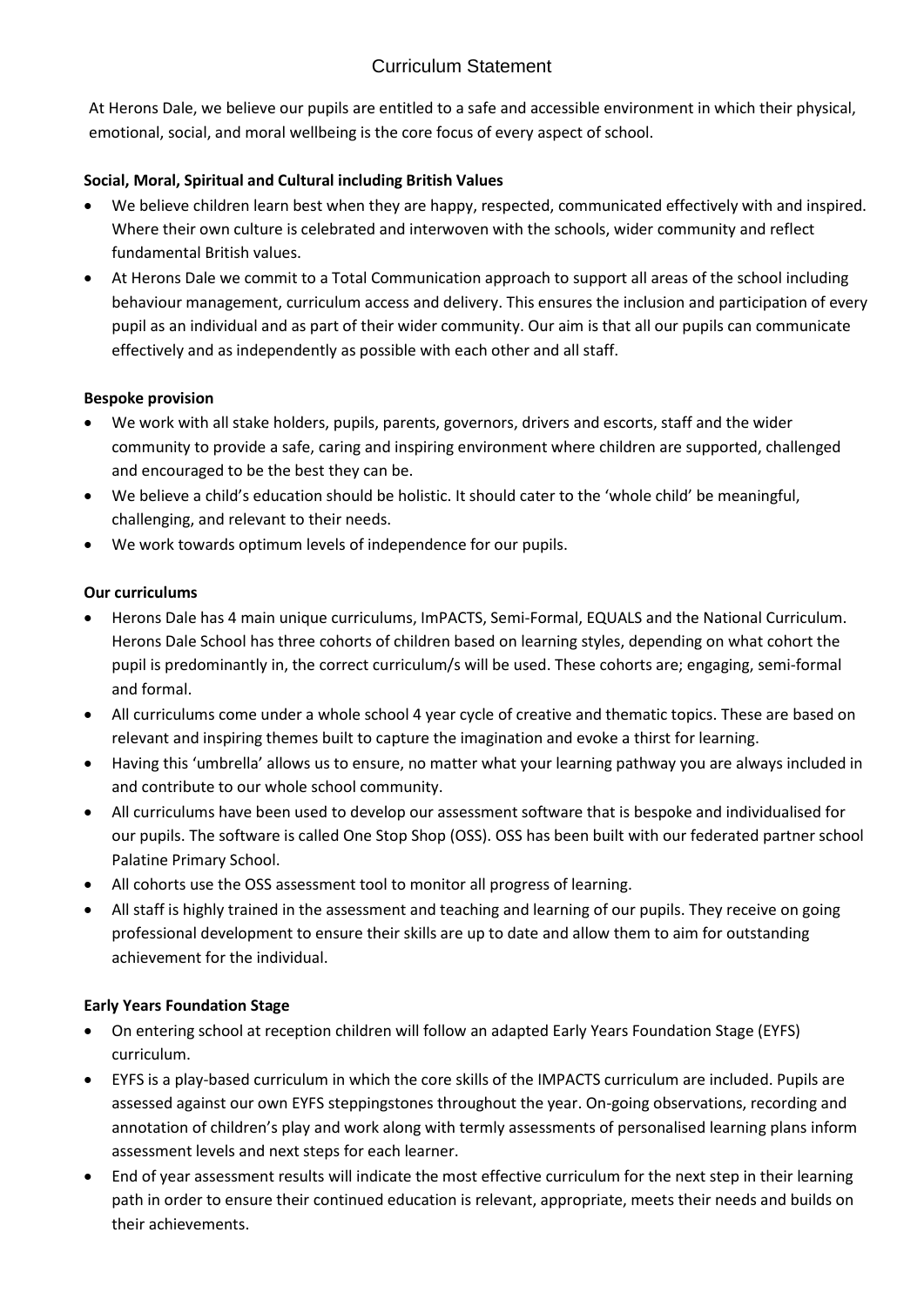# Curriculum Statement

At Herons Dale, we believe our pupils are entitled to a safe and accessible environment in which their physical, emotional, social, and moral wellbeing is the core focus of every aspect of school.

# **Social, Moral, Spiritual and Cultural including British Values**

- We believe children learn best when they are happy, respected, communicated effectively with and inspired. Where their own culture is celebrated and interwoven with the schools, wider community and reflect fundamental British values.
- At Herons Dale we commit to a Total Communication approach to support all areas of the school including behaviour management, curriculum access and delivery. This ensures the inclusion and participation of every pupil as an individual and as part of their wider community. Our aim is that all our pupils can communicate effectively and as independently as possible with each other and all staff.

# **Bespoke provision**

- We work with all stake holders, pupils, parents, governors, drivers and escorts, staff and the wider community to provide a safe, caring and inspiring environment where children are supported, challenged and encouraged to be the best they can be.
- We believe a child's education should be holistic. It should cater to the 'whole child' be meaningful, challenging, and relevant to their needs.
- We work towards optimum levels of independence for our pupils.

# **Our curriculums**

- Herons Dale has 4 main unique curriculums, ImPACTS, Semi-Formal, EQUALS and the National Curriculum. Herons Dale School has three cohorts of children based on learning styles, depending on what cohort the pupil is predominantly in, the correct curriculum/s will be used. These cohorts are; engaging, semi-formal and formal.
- All curriculums come under a whole school 4 year cycle of creative and thematic topics. These are based on relevant and inspiring themes built to capture the imagination and evoke a thirst for learning.
- Having this 'umbrella' allows us to ensure, no matter what your learning pathway you are always included in and contribute to our whole school community.
- All curriculums have been used to develop our assessment software that is bespoke and individualised for our pupils. The software is called One Stop Shop (OSS). OSS has been built with our federated partner school Palatine Primary School.
- All cohorts use the OSS assessment tool to monitor all progress of learning.
- All staff is highly trained in the assessment and teaching and learning of our pupils. They receive on going professional development to ensure their skills are up to date and allow them to aim for outstanding achievement for the individual.

# **Early Years Foundation Stage**

- On entering school at reception children will follow an adapted Early Years Foundation Stage (EYFS) curriculum.
- EYFS is a play-based curriculum in which the core skills of the IMPACTS curriculum are included. Pupils are assessed against our own EYFS steppingstones throughout the year. On-going observations, recording and annotation of children's play and work along with termly assessments of personalised learning plans inform assessment levels and next steps for each learner.
- End of year assessment results will indicate the most effective curriculum for the next step in their learning path in order to ensure their continued education is relevant, appropriate, meets their needs and builds on their achievements.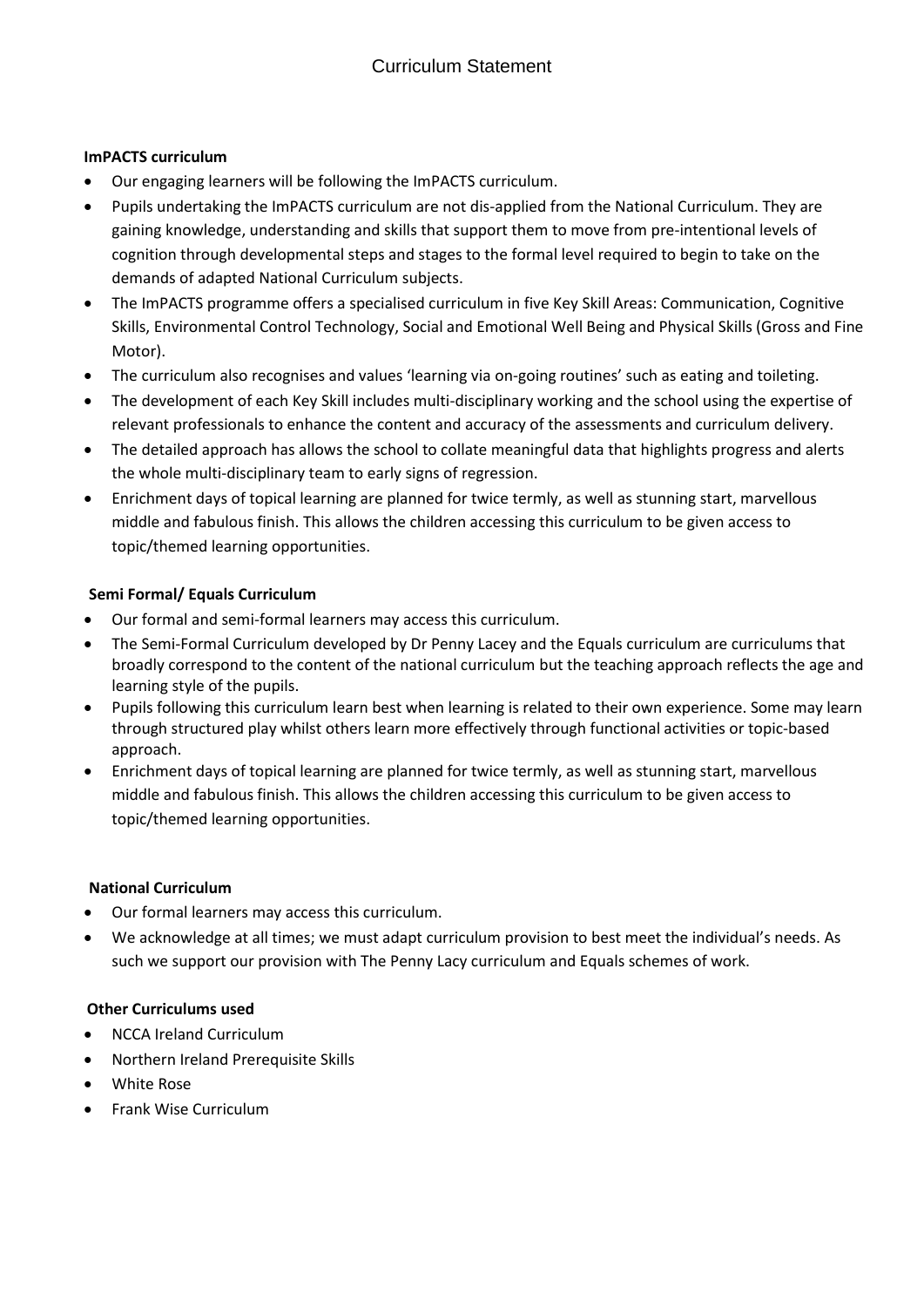# **ImPACTS curriculum**

- Our engaging learners will be following the ImPACTS curriculum.
- Pupils undertaking the ImPACTS curriculum are not dis-applied from the National Curriculum. They are gaining knowledge, understanding and skills that support them to move from pre-intentional levels of cognition through developmental steps and stages to the formal level required to begin to take on the demands of adapted National Curriculum subjects.
- The ImPACTS programme offers a specialised curriculum in five Key Skill Areas: Communication, Cognitive Skills, Environmental Control Technology, Social and Emotional Well Being and Physical Skills (Gross and Fine Motor).
- The curriculum also recognises and values 'learning via on-going routines' such as eating and toileting.
- The development of each Key Skill includes multi-disciplinary working and the school using the expertise of relevant professionals to enhance the content and accuracy of the assessments and curriculum delivery.
- The detailed approach has allows the school to collate meaningful data that highlights progress and alerts the whole multi-disciplinary team to early signs of regression.
- Enrichment days of topical learning are planned for twice termly, as well as stunning start, marvellous middle and fabulous finish. This allows the children accessing this curriculum to be given access to topic/themed learning opportunities.

# **Semi Formal/ Equals Curriculum**

- Our formal and semi-formal learners may access this curriculum.
- The Semi-Formal Curriculum developed by Dr Penny Lacey and the Equals curriculum are curriculums that broadly correspond to the content of the national curriculum but the teaching approach reflects the age and learning style of the pupils.
- Pupils following this curriculum learn best when learning is related to their own experience. Some may learn through structured play whilst others learn more effectively through functional activities or topic-based approach.
- Enrichment days of topical learning are planned for twice termly, as well as stunning start, marvellous middle and fabulous finish. This allows the children accessing this curriculum to be given access to topic/themed learning opportunities.

# **National Curriculum**

- Our formal learners may access this curriculum.
- We acknowledge at all times; we must adapt curriculum provision to best meet the individual's needs. As such we support our provision with The Penny Lacy curriculum and Equals schemes of work.

# **Other Curriculums used**

- NCCA Ireland Curriculum
- Northern Ireland Prerequisite Skills
- White Rose
- Frank Wise Curriculum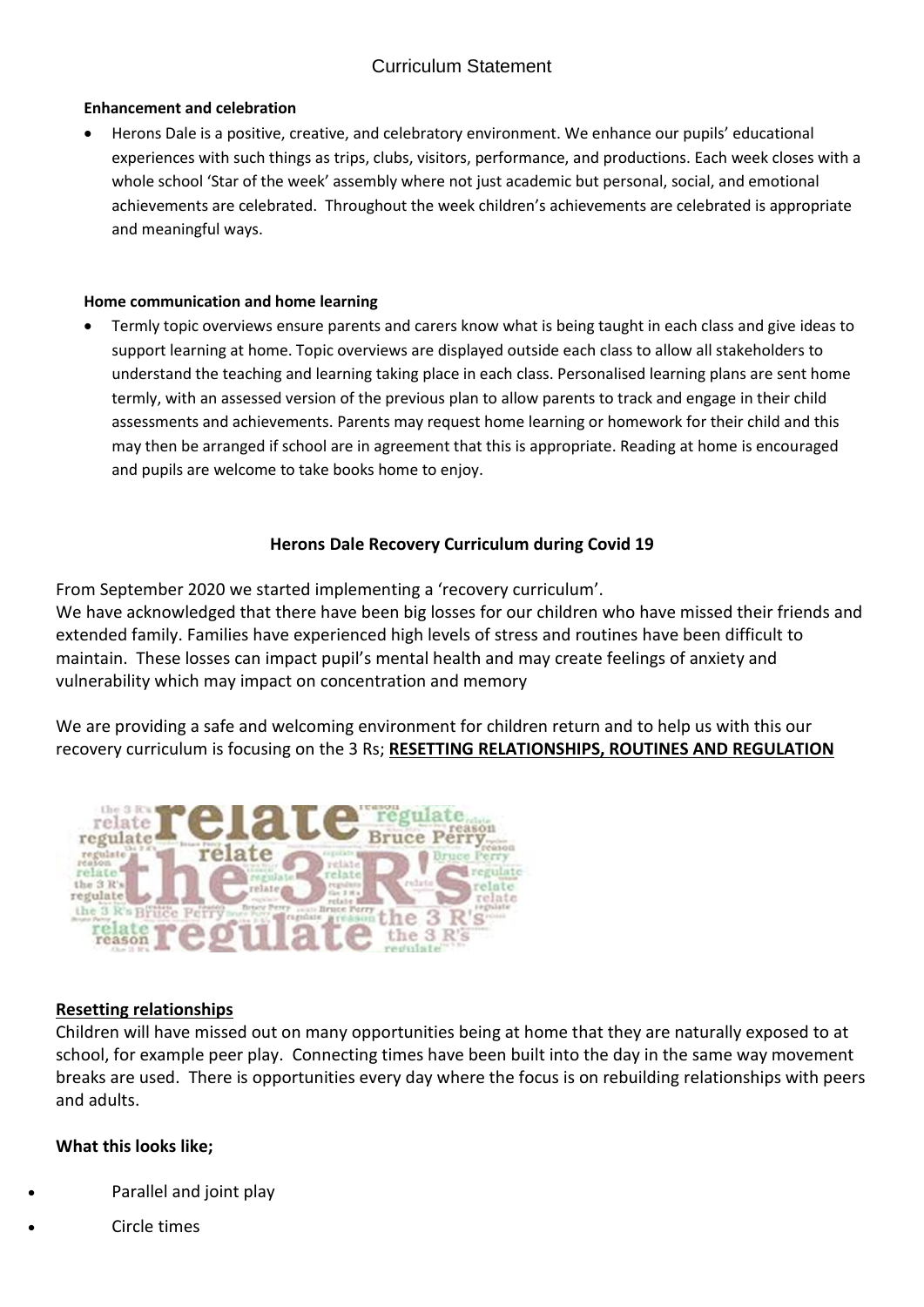# Curriculum Statement

#### **Enhancement and celebration**

• Herons Dale is a positive, creative, and celebratory environment. We enhance our pupils' educational experiences with such things as trips, clubs, visitors, performance, and productions. Each week closes with a whole school 'Star of the week' assembly where not just academic but personal, social, and emotional achievements are celebrated. Throughout the week children's achievements are celebrated is appropriate and meaningful ways.

#### **Home communication and home learning**

• Termly topic overviews ensure parents and carers know what is being taught in each class and give ideas to support learning at home. Topic overviews are displayed outside each class to allow all stakeholders to understand the teaching and learning taking place in each class. Personalised learning plans are sent home termly, with an assessed version of the previous plan to allow parents to track and engage in their child assessments and achievements. Parents may request home learning or homework for their child and this may then be arranged if school are in agreement that this is appropriate. Reading at home is encouraged and pupils are welcome to take books home to enjoy.

# **Herons Dale Recovery Curriculum during Covid 19**

From September 2020 we started implementing a 'recovery curriculum'. We have acknowledged that there have been big losses for our children who have missed their friends and extended family. Families have experienced high levels of stress and routines have been difficult to maintain. These losses can impact pupil's mental health and may create feelings of anxiety and vulnerability which may impact on concentration and memory

We are providing a safe and welcoming environment for children return and to help us with this our recovery curriculum is focusing on the 3 Rs; **RESETTING RELATIONSHIPS, ROUTINES AND REGULATION**



# **Resetting relationships**

Children will have missed out on many opportunities being at home that they are naturally exposed to at school, for example peer play. Connecting times have been built into the day in the same way movement breaks are used. There is opportunities every day where the focus is on rebuilding relationships with peers and adults.

# **What this looks like;**

- Parallel and joint play
- Circle times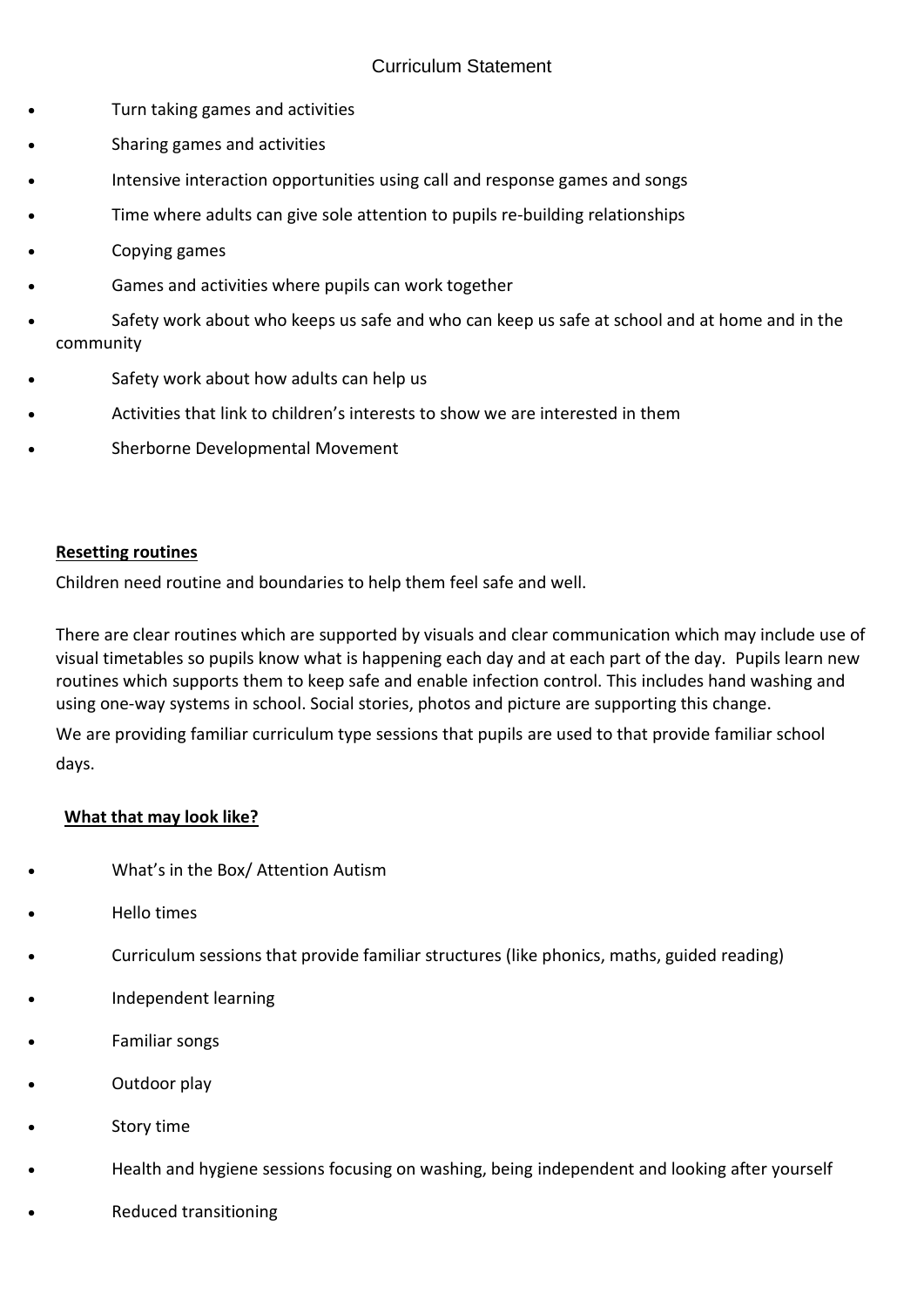- Turn taking games and activities
- Sharing games and activities
- Intensive interaction opportunities using call and response games and songs
- Time where adults can give sole attention to pupils re-building relationships
- Copying games
- Games and activities where pupils can work together
- Safety work about who keeps us safe and who can keep us safe at school and at home and in the community
- Safety work about how adults can help us
- Activities that link to children's interests to show we are interested in them
- Sherborne Developmental Movement

# **Resetting routines**

Children need routine and boundaries to help them feel safe and well.

There are clear routines which are supported by visuals and clear communication which may include use of visual timetables so pupils know what is happening each day and at each part of the day. Pupils learn new routines which supports them to keep safe and enable infection control. This includes hand washing and using one-way systems in school. Social stories, photos and picture are supporting this change.

We are providing familiar curriculum type sessions that pupils are used to that provide familiar school days.

# **What that may look like?**

- What's in the Box/ Attention Autism
- Hello times
- Curriculum sessions that provide familiar structures (like phonics, maths, guided reading)
- Independent learning
- Familiar songs
- Outdoor play
- Story time
- Health and hygiene sessions focusing on washing, being independent and looking after yourself
- Reduced transitioning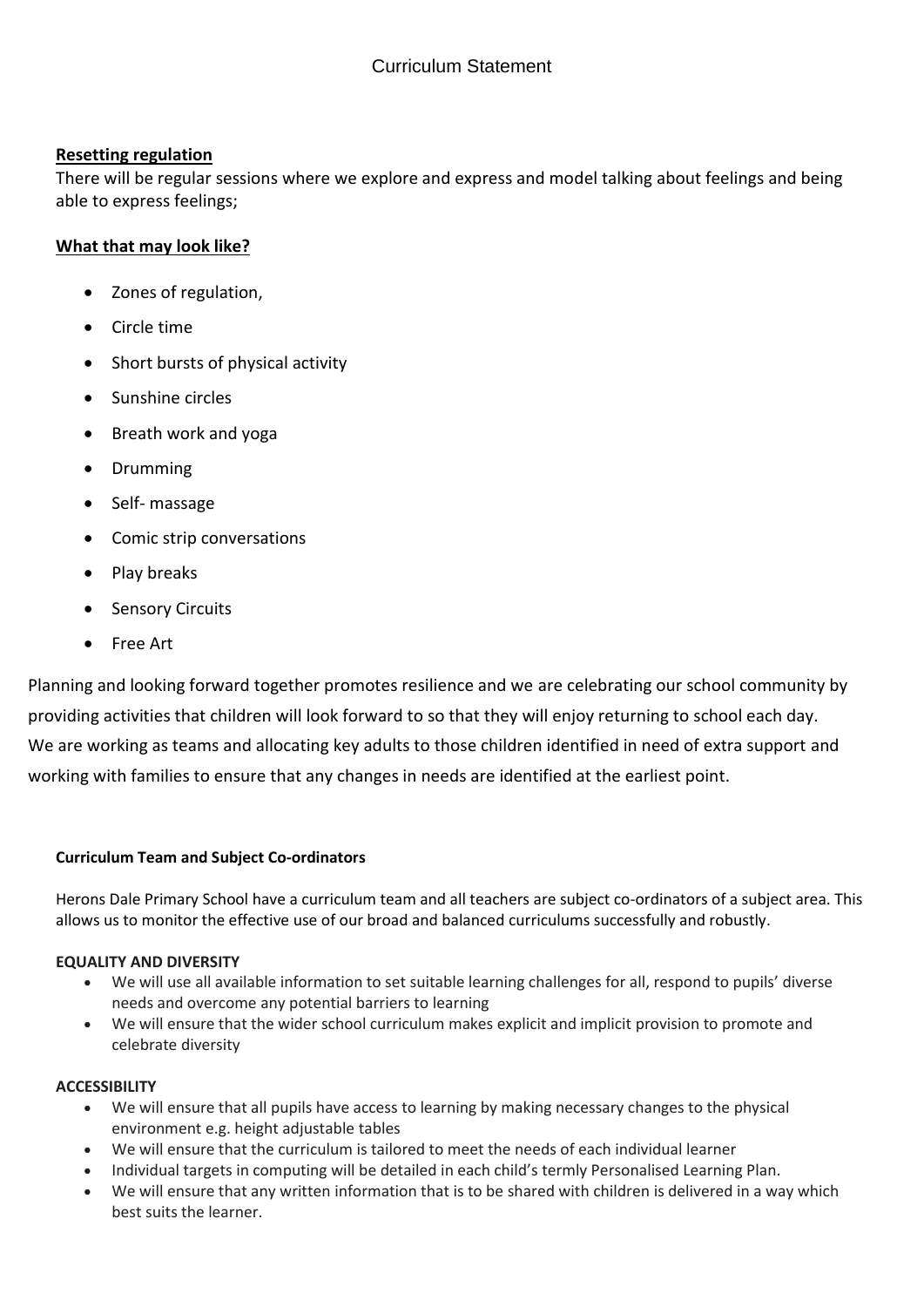# **Resetting regulation**

There will be regular sessions where we explore and express and model talking about feelings and being able to express feelings;

# **What that may look like?**

- Zones of regulation,
- Circle time
- Short bursts of physical activity
- Sunshine circles
- Breath work and yoga
- Drumming
- Self- massage
- Comic strip conversations
- Play breaks
- Sensory Circuits
- Free Art

Planning and looking forward together promotes resilience and we are celebrating our school community by providing activities that children will look forward to so that they will enjoy returning to school each day. We are working as teams and allocating key adults to those children identified in need of extra support and working with families to ensure that any changes in needs are identified at the earliest point.

# **Curriculum Team and Subject Co-ordinators**

Herons Dale Primary School have a curriculum team and all teachers are subject co-ordinators of a subject area. This allows us to monitor the effective use of our broad and balanced curriculums successfully and robustly.

# **EQUALITY AND DIVERSITY**

- We will use all available information to set suitable learning challenges for all, respond to pupils' diverse needs and overcome any potential barriers to learning
- We will ensure that the wider school curriculum makes explicit and implicit provision to promote and celebrate diversity

# **ACCESSIBILITY**

- We will ensure that all pupils have access to learning by making necessary changes to the physical environment e.g. height adjustable tables
- We will ensure that the curriculum is tailored to meet the needs of each individual learner
- Individual targets in computing will be detailed in each child's termly Personalised Learning Plan.
- We will ensure that any written information that is to be shared with children is delivered in a way which best suits the learner.